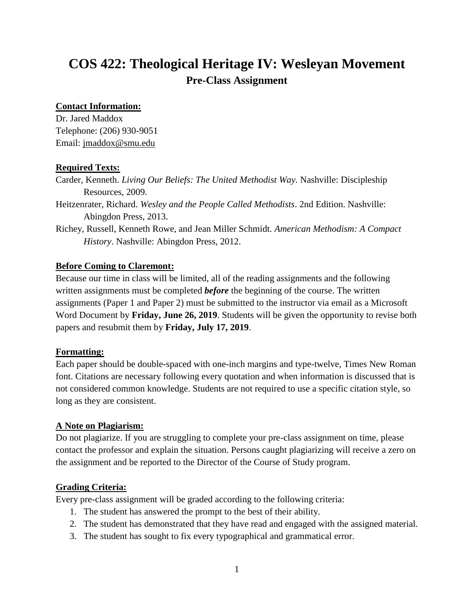# **COS 422: Theological Heritage IV: Wesleyan Movement Pre-Class Assignment**

#### **Contact Information:**

Dr. Jared Maddox Telephone: (206) 930-9051 Email: [jmaddox@smu.edu](mailto:jmaddox@smu.edu)

## **Required Texts:**

Carder, Kenneth. *Living Our Beliefs: The United Methodist Way.* Nashville: Discipleship Resources, 2009.

Heitzenrater, Richard. *Wesley and the People Called Methodists*. 2nd Edition. Nashville: Abingdon Press, 2013.

Richey, Russell, Kenneth Rowe, and Jean Miller Schmidt. *American Methodism: A Compact History*. Nashville: Abingdon Press, 2012.

## **Before Coming to Claremont:**

Because our time in class will be limited, all of the reading assignments and the following written assignments must be completed *before* the beginning of the course. The written assignments (Paper 1 and Paper 2) must be submitted to the instructor via email as a Microsoft Word Document by **Friday, June 26, 2019**. Students will be given the opportunity to revise both papers and resubmit them by **Friday, July 17, 2019**.

#### **Formatting:**

Each paper should be double-spaced with one-inch margins and type-twelve, Times New Roman font. Citations are necessary following every quotation and when information is discussed that is not considered common knowledge. Students are not required to use a specific citation style, so long as they are consistent.

#### **A Note on Plagiarism:**

Do not plagiarize. If you are struggling to complete your pre-class assignment on time, please contact the professor and explain the situation. Persons caught plagiarizing will receive a zero on the assignment and be reported to the Director of the Course of Study program.

# **Grading Criteria:**

Every pre-class assignment will be graded according to the following criteria:

- 1. The student has answered the prompt to the best of their ability.
- 2. The student has demonstrated that they have read and engaged with the assigned material.
- 3. The student has sought to fix every typographical and grammatical error.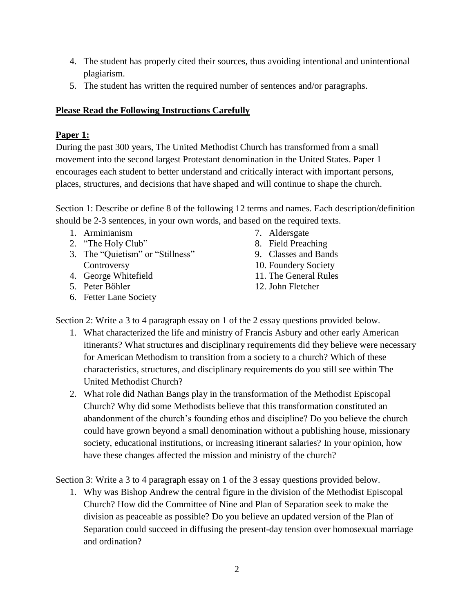- 4. The student has properly cited their sources, thus avoiding intentional and unintentional plagiarism.
- 5. The student has written the required number of sentences and/or paragraphs.

#### **Please Read the Following Instructions Carefully**

## **Paper 1:**

During the past 300 years, The United Methodist Church has transformed from a small movement into the second largest Protestant denomination in the United States. Paper 1 encourages each student to better understand and critically interact with important persons, places, structures, and decisions that have shaped and will continue to shape the church.

Section 1: Describe or define 8 of the following 12 terms and names. Each description/definition should be 2-3 sentences, in your own words, and based on the required texts.

- 1. Arminianism
- 2. "The Holy Club"
- 3. The "Quietism" or "Stillness" **Controversy**
- 4. George Whitefield
- 5. Peter Bӧhler
- 6. Fetter Lane Society
- 7. Aldersgate
- 8. Field Preaching
- 9. Classes and Bands
- 10. Foundery Society
- 11. The General Rules
- 12. John Fletcher

Section 2: Write a 3 to 4 paragraph essay on 1 of the 2 essay questions provided below.

- 1. What characterized the life and ministry of Francis Asbury and other early American itinerants? What structures and disciplinary requirements did they believe were necessary for American Methodism to transition from a society to a church? Which of these characteristics, structures, and disciplinary requirements do you still see within The United Methodist Church?
- 2. What role did Nathan Bangs play in the transformation of the Methodist Episcopal Church? Why did some Methodists believe that this transformation constituted an abandonment of the church's founding ethos and discipline? Do you believe the church could have grown beyond a small denomination without a publishing house, missionary society, educational institutions, or increasing itinerant salaries? In your opinion, how have these changes affected the mission and ministry of the church?

Section 3: Write a 3 to 4 paragraph essay on 1 of the 3 essay questions provided below.

1. Why was Bishop Andrew the central figure in the division of the Methodist Episcopal Church? How did the Committee of Nine and Plan of Separation seek to make the division as peaceable as possible? Do you believe an updated version of the Plan of Separation could succeed in diffusing the present-day tension over homosexual marriage and ordination?